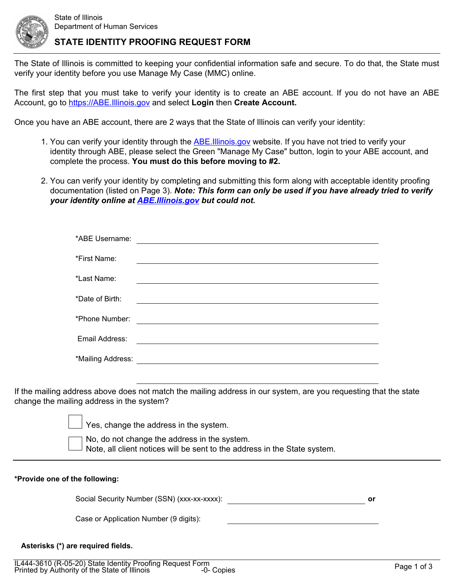

## **STATE IDENTITY PROOFING REQUEST FORM**

The State of Illinois is committed to keeping your confidential information safe and secure. To do that, the State must verify your identity before you use Manage My Case (MMC) online.

The first step that you must take to verify your identity is to create an ABE account. If you do not have an ABE Account, go to <https://ABE.Illinois.gov> and select **Login** then **Create Account.**

Once you have an ABE account, there are 2 ways that the State of Illinois can verify your identity:

- 1. You can verify your identity through the [ABE.Illinois.gov](https://ABE.Illinois.gov) website. If you have not tried to verify your identity through ABE, please select the Green "Manage My Case" button, login to your ABE account, and complete the process. **You must do this before moving to #2.**
- 2. You can verify your identity by completing and submitting this form along with acceptable identity proofing documentation (listed on Page 3). *Note: This form can only be used if you have already tried to verify your identity online at [ABE.Illinois.gov](https://ABE.Illinois.gov) but could not.*

| *ABE Username:    |  |
|-------------------|--|
| *First Name:      |  |
| *Last Name:       |  |
| *Date of Birth:   |  |
| *Phone Number:    |  |
| Email Address:    |  |
| *Mailing Address: |  |
|                   |  |

If the mailing address above does not match the mailing address in our system, are you requesting that the state change the mailing address in the system?

> No, do not change the address in the system. Note, all client notices will be sent to the address in the State system. Yes, change the address in the system.

| or                                          |
|---------------------------------------------|
|                                             |
| Social Security Number (SSN) (xxx-xx-xxxx): |

#### **Asterisks (\*) are required fields.**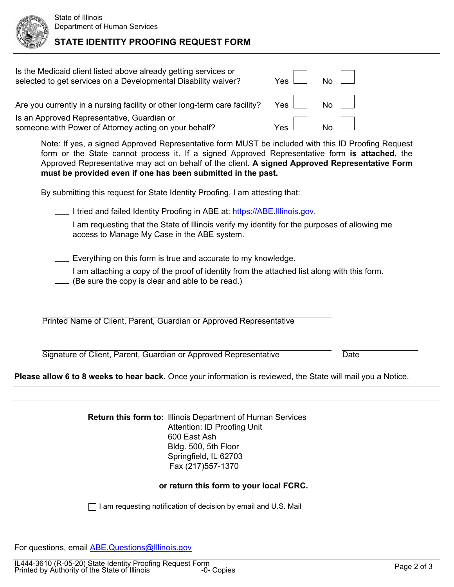# **STATE IDENTITY PROOFING REQUEST FORM**

| Is the Medicaid client listed above already getting services or<br>selected to get services on a Developmental Disability waiver?                                                                                                                                                                                                                                      | Yes     | N <sub>0</sub> |  |  |
|------------------------------------------------------------------------------------------------------------------------------------------------------------------------------------------------------------------------------------------------------------------------------------------------------------------------------------------------------------------------|---------|----------------|--|--|
| Are you currently in a nursing facility or other long-term care facility?                                                                                                                                                                                                                                                                                              | Yes     | <b>No</b>      |  |  |
| Is an Approved Representative, Guardian or<br>someone with Power of Attorney acting on your behalf?                                                                                                                                                                                                                                                                    | $Yes-1$ |                |  |  |
| Note: If yes, a signed Approved Representative form MUST be included with this ID Proofing Request<br>form or the State cannot process it. If a signed Approved Representative form is attached, the<br>Approved Representative may act on behalf of the client. A signed Approved Representative Form<br>must be provided even if one has been submitted in the past. |         |                |  |  |

By submitting this request for State Identity Proofing, I am attesting that:

I tried and failed Identity Proofing in ABE at: [https://ABE.Illinois.gov.](https://ABE.Illinois.gov)

I am requesting that the State of Illinois verify my identity for the purposes of allowing me **All access to Manage My Case in the ABE system.** 

**Everything on this form is true and accurate to my knowledge.** 

I am attaching a copy of the proof of identity from the attached list along with this form.

(Be sure the copy is clear and able to be read.)

Printed Name of Client, Parent, Guardian or Approved Representative

Signature of Client, Parent, Guardian or Approved Representative

**Please allow 6 to 8 weeks to hear back.** Once your information is reviewed, the State will mail you a Notice.

**Return this form to:** Illinois Department of Human Services Attention: ID Proofing Unit 600 East Ash Bldg. 500, 5th Floor Springfield, IL 62703 Fax (217)557-1370

### **or return this form to your local FCRC.**

 $\Box$  I am requesting notification of decision by email and U.S. Mail

For questions, email **[ABE.Questions@Illinois.gov](http://www.dhs.state.il.us/page.aspx?item=98456)** 

**Date**